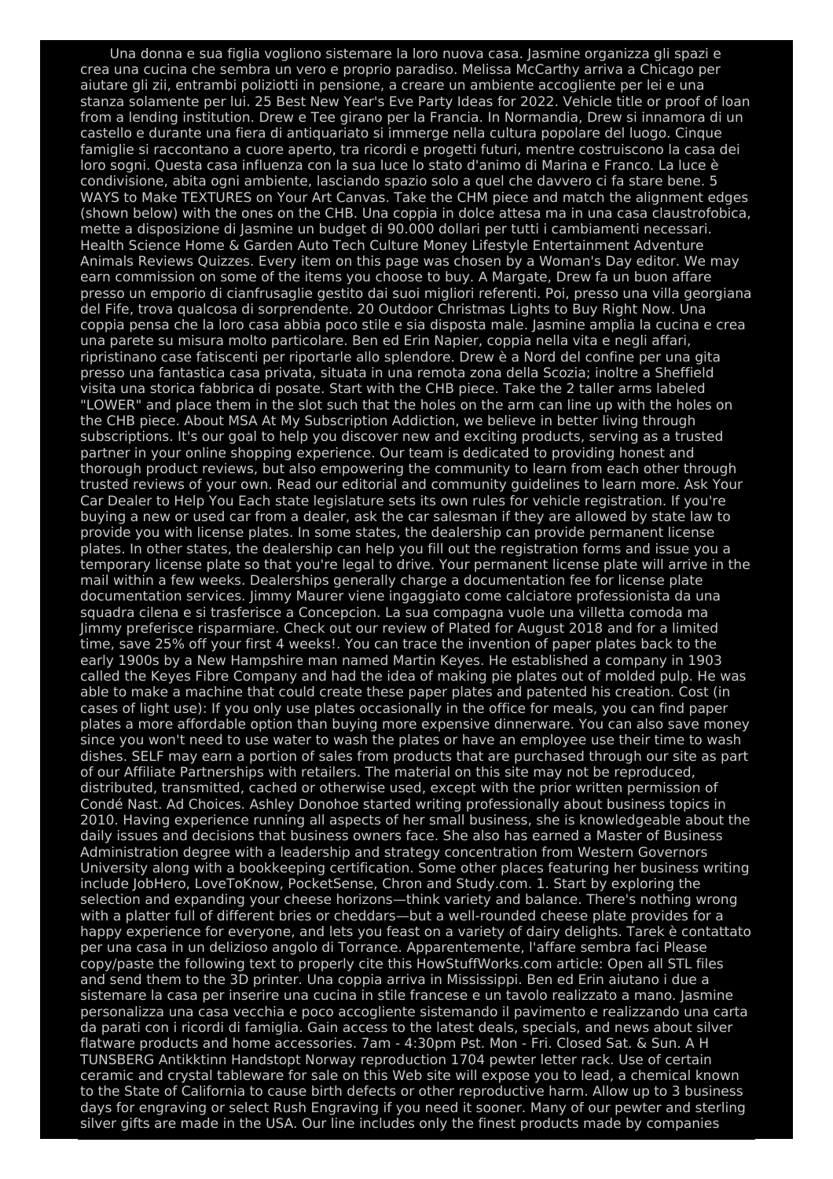Una donna e sua figlia vogliono sistemare la loro nuova casa. Jasmine organizza gli spazi e crea una cucina che sembra un vero e proprio paradiso. Melissa McCarthy arriva a Chicago per aiutare gli zii, entrambi poliziotti in pensione, a creare un ambiente accogliente per lei e una stanza solamente per lui. 25 Best New Year's Eve Party Ideas for 2022. Vehicle title or proof of loan from a lending institution. Drew e Tee girano per la Francia. In Normandia, Drew si innamora di un castello e durante una fiera di antiquariato si immerge nella cultura popolare del luogo. Cinque famiglie si raccontano a cuore aperto, tra ricordi e progetti futuri, mentre costruiscono la casa dei loro sogni. Questa casa influenza con la sua luce lo stato d'animo di Marina e Franco. La luce è condivisione, abita ogni ambiente, lasciando spazio solo a quel che davvero ci fa stare bene. 5 WAYS to Make TEXTURES on Your Art Canvas. Take the CHM piece and match the alignment edges (shown below) with the ones on the CHB. Una coppia in dolce attesa ma in una casa claustrofobica, mette a disposizione di Jasmine un budget di 90.000 dollari per tutti i cambiamenti necessari. Health Science Home & Garden Auto Tech Culture Money Lifestyle Entertainment Adventure Animals Reviews Quizzes. Every item on this page was chosen by a Woman's Day editor. We may earn commission on some of the items you choose to buy. A Margate, Drew fa un buon affare presso un emporio di cianfrusaglie gestito dai suoi migliori referenti. Poi, presso una villa georgiana del Fife, trova qualcosa di sorprendente. 20 Outdoor Christmas Lights to Buy Right Now. Una coppia pensa che la loro casa abbia poco stile e sia disposta male. Jasmine amplia la cucina e crea una parete su misura molto particolare. Ben ed Erin Napier, coppia nella vita e negli affari, ripristinano case fatiscenti per riportarle allo splendore. Drew è a Nord del confine per una gita presso una fantastica casa privata, situata in una remota zona della Scozia; inoltre a Sheffield visita una storica fabbrica di posate. Start with the CHB piece. Take the 2 taller arms labeled "LOWER" and place them in the slot such that the holes on the arm can line up with the holes on the CHB piece. About MSA At My Subscription Addiction, we believe in better living through subscriptions. It's our goal to help you discover new and exciting products, serving as a trusted partner in your online shopping experience. Our team is dedicated to providing honest and thorough product reviews, but also empowering the community to learn from each other through trusted reviews of your own. Read our editorial and community guidelines to learn more. Ask Your Car Dealer to Help You Each state legislature sets its own rules for vehicle registration. If you're buying a new or used car from a dealer, ask the car salesman if they are allowed by state law to provide you with license plates. In some states, the dealership can provide permanent license plates. In other states, the dealership can help you fill out the registration forms and issue you a temporary license plate so that you're legal to drive. Your permanent license plate will arrive in the mail within a few weeks. Dealerships generally charge a documentation fee for license plate documentation services. Jimmy Maurer viene ingaggiato come calciatore professionista da una squadra cilena e si trasferisce a Concepcion. La sua compagna vuole una villetta comoda ma Jimmy preferisce risparmiare. Check out our review of Plated for August 2018 and for a limited time, save 25% off your first 4 weeks!. You can trace the invention of paper plates back to the early 1900s by a New Hampshire man named Martin Keyes. He established a company in 1903 called the Keyes Fibre Company and had the idea of making pie plates out of molded pulp. He was able to make a machine that could create these paper plates and patented his creation. Cost (in cases of light use): If you only use plates occasionally in the office for meals, you can find paper plates a more affordable option than buying more expensive dinnerware. You can also save money since you won't need to use water to wash the plates or have an employee use their time to wash dishes. SELF may earn a portion of sales from products that are purchased through our site as part of our Affiliate Partnerships with retailers. The material on this site may not be reproduced, distributed, transmitted, cached or otherwise used, except with the prior written permission of Condé Nast. Ad Choices. Ashley Donohoe started writing professionally about business topics in 2010. Having experience running all aspects of her small business, she is knowledgeable about the daily issues and decisions that business owners face. She also has earned a Master of Business Administration degree with a leadership and strategy concentration from Western Governors University along with a bookkeeping certification. Some other places featuring her business writing include JobHero, LoveToKnow, PocketSense, Chron and Study.com. 1. Start by exploring the selection and expanding your cheese horizons—think variety and balance. There's nothing wrong with a platter full of different bries or cheddars—but a well-rounded cheese plate provides for a happy experience for everyone, and lets you feast on a variety of dairy delights. Tarek è contattato per una casa in un delizioso angolo di Torrance. Apparentemente, l'affare sembra faci Please copy/paste the following text to properly cite this HowStuffWorks.com article: Open all STL files and send them to the 3D printer. Una coppia arriva in Mississippi. Ben ed Erin aiutano i due a sistemare la casa per inserire una cucina in stile francese e un tavolo realizzato a mano. Jasmine personalizza una casa vecchia e poco accogliente sistemando il pavimento e realizzando una carta da parati con i ricordi di famiglia. Gain access to the latest deals, specials, and news about silver flatware products and home accessories. 7am - 4:30pm Pst. Mon - Fri. Closed Sat. & Sun. A H TUNSBERG Antikktinn Handstopt Norway reproduction 1704 pewter letter rack. Use of certain ceramic and crystal tableware for sale on this Web site will expose you to lead, a chemical known to the State of California to cause birth defects or other reproductive harm. Allow up to 3 business days for engraving or select Rush Engraving if you need it sooner. Many of our pewter and sterling silver gifts are made in the USA. Our line includes only the finest products made by companies